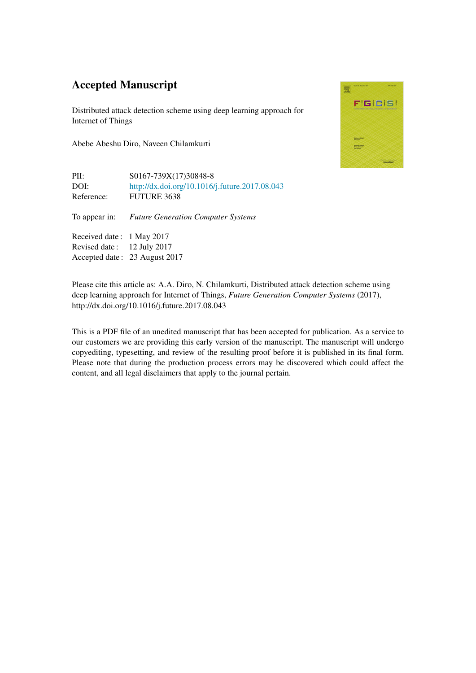# Accepted Manuscript

Distributed attack detection scheme using deep learning approach for Internet of Things

Abebe Abeshu Diro, Naveen Chilamkurti





Please cite this article as: A.A. Diro, N. Chilamkurti, Distributed attack detection scheme using deep learning approach for Internet of Things, *Future Generation Computer Systems* (2017), http://dx.doi.org/10.1016/j.future.2017.08.043

This is a PDF file of an unedited manuscript that has been accepted for publication. As a service to our customers we are providing this early version of the manuscript. The manuscript will undergo copyediting, typesetting, and review of the resulting proof before it is published in its final form. Please note that during the production process errors may be discovered which could affect the content, and all legal disclaimers that apply to the journal pertain.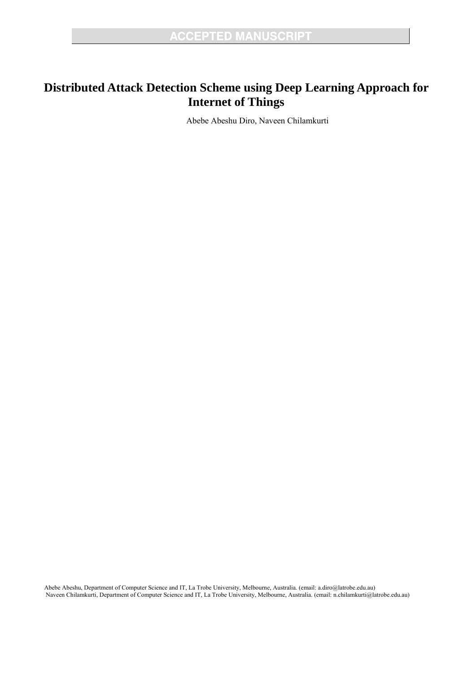# **Distributed Attack Detection Scheme using Deep Learning Approach for Internet of Things**

Abebe Abeshu Diro, Naveen Chilamkurti

Abebe Abeshu, Department of Computer Science and IT, La Trobe University, Melbourne, Australia. (email: a.diro@latrobe.edu.au) Naveen Chilamkurti, Department of Computer Science and IT, La Trobe University, Melbourne, Australia. (email: n.chilamkurti@latrobe.edu.au)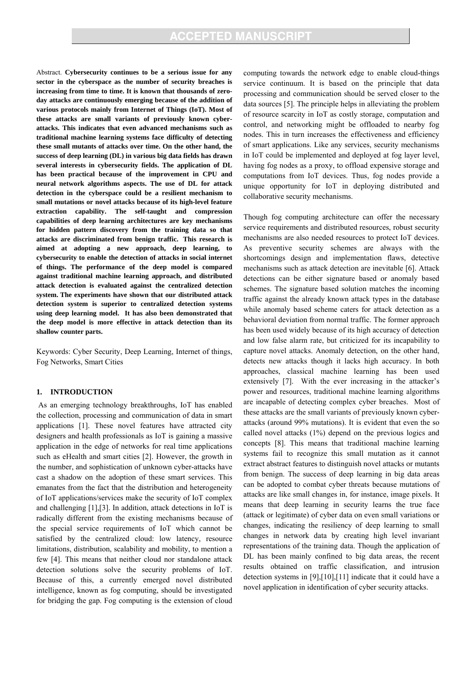### **CCEPTED MANUSCRIPT**

Abstract. **Cybersecurity continues to be a serious issue for any sector in the cyberspace as the number of security breaches is increasing from time to time. It is known that thousands of zeroday attacks are continuously emerging because of the addition of various protocols mainly from Internet of Things (IoT). Most of these attacks are small variants of previously known cyberattacks. This indicates that even advanced mechanisms such as traditional machine learning systems face difficulty of detecting these small mutants of attacks over time. On the other hand, the success of deep learning (DL) in various big data fields has drawn several interests in cybersecurity fields. The application of DL has been practical because of the improvement in CPU and neural network algorithms aspects. The use of DL for attack detection in the cyberspace could be a resilient mechanism to small mutations or novel attacks because of its high-level feature extraction capability. The self-taught and compression capabilities of deep learning architectures are key mechanisms for hidden pattern discovery from the training data so that attacks are discriminated from benign traffic. This research is aimed at adopting a new approach, deep learning, to cybersecurity to enable the detection of attacks in social internet of things. The performance of the deep model is compared against traditional machine learning approach, and distributed attack detection is evaluated against the centralized detection system. The experiments have shown that our distributed attack detection system is superior to centralized detection systems using deep learning model. It has also been demonstrated that the deep model is more effective in attack detection than its shallow counter parts.** 

Keywords: Cyber Security, Deep Learning, Internet of things, Fog Networks, Smart Cities

#### **1. INTRODUCTION**

 As an emerging technology breakthroughs, IoT has enabled the collection, processing and communication of data in smart applications [1]. These novel features have attracted city designers and health professionals as IoT is gaining a massive application in the edge of networks for real time applications such as eHealth and smart cities [2]. However, the growth in the number, and sophistication of unknown cyber-attacks have cast a shadow on the adoption of these smart services. This emanates from the fact that the distribution and heterogeneity of IoT applications/services make the security of IoT complex and challenging [1],[3]. In addition, attack detections in IoT is radically different from the existing mechanisms because of the special service requirements of IoT which cannot be satisfied by the centralized cloud: low latency, resource limitations, distribution, scalability and mobility, to mention a few [4]. This means that neither cloud nor standalone attack detection solutions solve the security problems of IoT. Because of this, a currently emerged novel distributed intelligence, known as fog computing, should be investigated for bridging the gap. Fog computing is the extension of cloud computing towards the network edge to enable cloud-things service continuum. It is based on the principle that data processing and communication should be served closer to the data sources [5]. The principle helps in alleviating the problem of resource scarcity in IoT as costly storage, computation and control, and networking might be offloaded to nearby fog nodes. This in turn increases the effectiveness and efficiency of smart applications. Like any services, security mechanisms in IoT could be implemented and deployed at fog layer level, having fog nodes as a proxy, to offload expensive storage and computations from IoT devices. Thus, fog nodes provide a unique opportunity for IoT in deploying distributed and collaborative security mechanisms.

Though fog computing architecture can offer the necessary service requirements and distributed resources, robust security mechanisms are also needed resources to protect IoT devices. As preventive security schemes are always with the shortcomings design and implementation flaws, detective mechanisms such as attack detection are inevitable [6]. Attack detections can be either signature based or anomaly based schemes. The signature based solution matches the incoming traffic against the already known attack types in the database while anomaly based scheme caters for attack detection as a behavioral deviation from normal traffic. The former approach has been used widely because of its high accuracy of detection and low false alarm rate, but criticized for its incapability to capture novel attacks. Anomaly detection, on the other hand, detects new attacks though it lacks high accuracy. In both approaches, classical machine learning has been used extensively [7]. With the ever increasing in the attacker's power and resources, traditional machine learning algorithms are incapable of detecting complex cyber breaches. Most of these attacks are the small variants of previously known cyberattacks (around 99% mutations). It is evident that even the so called novel attacks (1%) depend on the previous logics and concepts [8]. This means that traditional machine learning systems fail to recognize this small mutation as it cannot extract abstract features to distinguish novel attacks or mutants from benign. The success of deep learning in big data areas can be adopted to combat cyber threats because mutations of attacks are like small changes in, for instance, image pixels. It means that deep learning in security learns the true face (attack or legitimate) of cyber data on even small variations or changes, indicating the resiliency of deep learning to small changes in network data by creating high level invariant representations of the training data. Though the application of DL has been mainly confined to big data areas, the recent results obtained on traffic classification, and intrusion detection systems in [9],[10],[11] indicate that it could have a novel application in identification of cyber security attacks.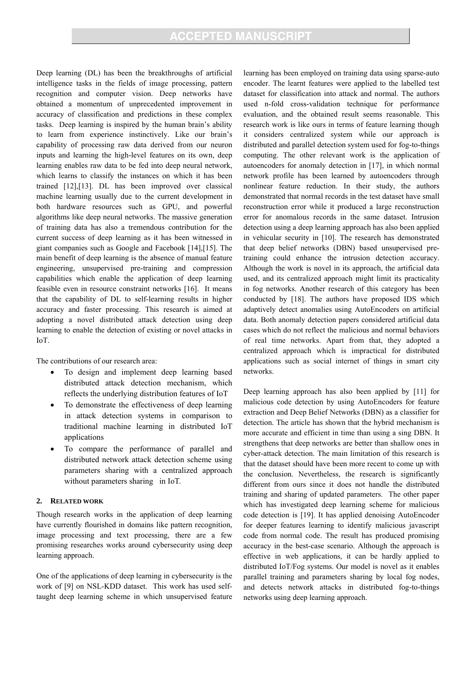## **ACCEPTED MANUSCRIPT**

Deep learning (DL) has been the breakthroughs of artificial intelligence tasks in the fields of image processing, pattern recognition and computer vision. Deep networks have obtained a momentum of unprecedented improvement in accuracy of classification and predictions in these complex tasks. Deep learning is inspired by the human brain's ability to learn from experience instinctively. Like our brain's capability of processing raw data derived from our neuron inputs and learning the high-level features on its own, deep learning enables raw data to be fed into deep neural network, which learns to classify the instances on which it has been trained [12],[13]. DL has been improved over classical machine learning usually due to the current development in both hardware resources such as GPU, and powerful algorithms like deep neural networks. The massive generation of training data has also a tremendous contribution for the current success of deep learning as it has been witnessed in giant companies such as Google and Facebook [14],[15]. The main benefit of deep learning is the absence of manual feature engineering, unsupervised pre-training and compression capabilities which enable the application of deep learning feasible even in resource constraint networks [16]. It means that the capability of DL to self-learning results in higher accuracy and faster processing. This research is aimed at adopting a novel distributed attack detection using deep learning to enable the detection of existing or novel attacks in IoT.

The contributions of our research area:

- To design and implement deep learning based distributed attack detection mechanism, which reflects the underlying distribution features of IoT
- To demonstrate the effectiveness of deep learning in attack detection systems in comparison to traditional machine learning in distributed IoT applications
- To compare the performance of parallel and distributed network attack detection scheme using parameters sharing with a centralized approach without parameters sharing in IoT.

#### **2. RELATED WORK**

Though research works in the application of deep learning have currently flourished in domains like pattern recognition, image processing and text processing, there are a few promising researches works around cybersecurity using deep learning approach.

One of the applications of deep learning in cybersecurity is the work of [9] on NSL-KDD dataset. This work has used selftaught deep learning scheme in which unsupervised feature learning has been employed on training data using sparse-auto encoder. The learnt features were applied to the labelled test dataset for classification into attack and normal. The authors used n-fold cross-validation technique for performance evaluation, and the obtained result seems reasonable. This research work is like ours in terms of feature learning though it considers centralized system while our approach is distributed and parallel detection system used for fog-to-things computing. The other relevant work is the application of autoencoders for anomaly detection in [17], in which normal network profile has been learned by autoencoders through nonlinear feature reduction. In their study, the authors demonstrated that normal records in the test dataset have small reconstruction error while it produced a large reconstruction error for anomalous records in the same dataset. Intrusion detection using a deep learning approach has also been applied in vehicular security in [10]. The research has demonstrated that deep belief networks (DBN) based unsupervised pretraining could enhance the intrusion detection accuracy. Although the work is novel in its approach, the artificial data used, and its centralized approach might limit its practicality in fog networks. Another research of this category has been conducted by [18]. The authors have proposed IDS which adaptively detect anomalies using AutoEncoders on artificial data. Both anomaly detection papers considered artificial data cases which do not reflect the malicious and normal behaviors of real time networks. Apart from that, they adopted a centralized approach which is impractical for distributed applications such as social internet of things in smart city networks.

Deep learning approach has also been applied by [11] for malicious code detection by using AutoEncoders for feature extraction and Deep Belief Networks (DBN) as a classifier for detection. The article has shown that the hybrid mechanism is more accurate and efficient in time than using a sing DBN. It strengthens that deep networks are better than shallow ones in cyber-attack detection. The main limitation of this research is that the dataset should have been more recent to come up with the conclusion. Nevertheless, the research is significantly different from ours since it does not handle the distributed training and sharing of updated parameters. The other paper which has investigated deep learning scheme for malicious code detection is [19]. It has applied denoising AutoEncoder for deeper features learning to identify malicious javascript code from normal code. The result has produced promising accuracy in the best-case scenario. Although the approach is effective in web applications, it can be hardly applied to distributed IoT/Fog systems. Our model is novel as it enables parallel training and parameters sharing by local fog nodes, and detects network attacks in distributed fog-to-things networks using deep learning approach.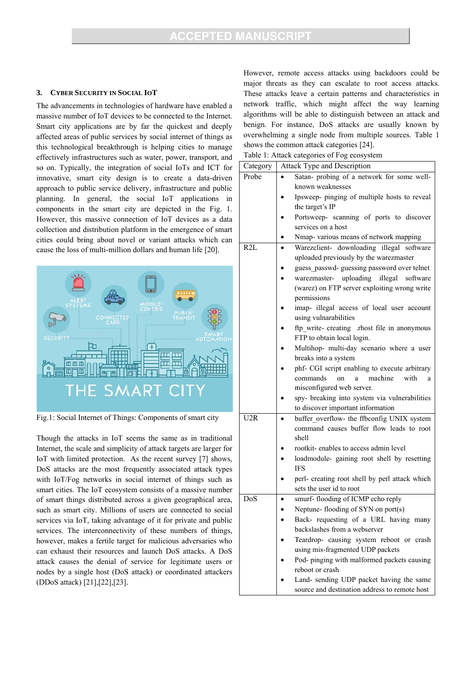### 3. CYBER SECURITY IN SOCIAL IOT

The advancements in technologies of hardware have enabled a massive number of IoT devices to be connected to the Internet. Smart city applications are by far the quickest and deeply affected areas of public services by social internet of things as this technological breakthrough is helping cities to manage effectively infrastructures such as water, power, transport, and so on. Typically, the integration of social IoTs and ICT for innovative, smart city design is to create a data-driven approach to public service delivery, infrastructure and public planning. In general, the social IoT applications in components in the smart city are depicted in the Fig. 1. However, this massive connection of IoT devices as a data collection and distribution platform in the emergence of smart cities could bring about novel or variant attacks which can cause the loss of multi-million dollars and human life [20].



Fig.1: Social Internet of Things: Components of smart city

Though the attacks in IoT seems the same as in traditional Internet, the scale and simplicity of attack targets are larger for IoT with limited protection. As the recent survey [7] shows, DoS attacks are the most frequently associated attack types with IoT/Fog networks in social internet of things such as smart cities. The IoT ecosystem consists of a massive number of smart things distributed across a given geographical area, such as smart city. Millions of users are connected to social services via IoT, taking advantage of it for private and public services. The interconnectivity of these numbers of things, however, makes a fertile target for malicious adversaries who can exhaust their resources and launch DoS attacks. A DoS attack causes the denial of service for legitimate users or nodes by a single host (DoS attack) or coordinated attackers (DDoS attack) [21], [22], [23].

However, remote access attacks using backdoors could be major threats as they can escalate to root access attacks. These attacks leave a certain patterns and characteristics in network traffic, which might affect the way learning algorithms will be able to distinguish between an attack and benign. For instance, DoS attacks are usually known by overwhelming a single node from multiple sources. Table 1 shows the common attack categories [24].

Table 1: Attack categories of Fog ecosystem

| Probe<br>Satan- probing of a network for some well-<br>known weaknesses<br>Ipsweep- pinging of multiple hosts to reveal<br>the target's IP<br>Portsweep- scanning of ports to discover<br>services on a host<br>Nmap-various means of network mapping<br>R2L<br>Warezclient- downloading illegal software<br>uploaded previously by the warezmaster<br>guess passwd- guessing password over telnet<br>uploading<br>illegal<br>warezmaster-<br>software | Category | <b>Attack Type and Description</b> |  |  |  |
|--------------------------------------------------------------------------------------------------------------------------------------------------------------------------------------------------------------------------------------------------------------------------------------------------------------------------------------------------------------------------------------------------------------------------------------------------------|----------|------------------------------------|--|--|--|
|                                                                                                                                                                                                                                                                                                                                                                                                                                                        |          |                                    |  |  |  |
|                                                                                                                                                                                                                                                                                                                                                                                                                                                        |          |                                    |  |  |  |
|                                                                                                                                                                                                                                                                                                                                                                                                                                                        |          |                                    |  |  |  |
|                                                                                                                                                                                                                                                                                                                                                                                                                                                        |          |                                    |  |  |  |
|                                                                                                                                                                                                                                                                                                                                                                                                                                                        |          |                                    |  |  |  |
|                                                                                                                                                                                                                                                                                                                                                                                                                                                        |          |                                    |  |  |  |
|                                                                                                                                                                                                                                                                                                                                                                                                                                                        |          |                                    |  |  |  |
|                                                                                                                                                                                                                                                                                                                                                                                                                                                        |          |                                    |  |  |  |
|                                                                                                                                                                                                                                                                                                                                                                                                                                                        |          |                                    |  |  |  |
|                                                                                                                                                                                                                                                                                                                                                                                                                                                        |          |                                    |  |  |  |
|                                                                                                                                                                                                                                                                                                                                                                                                                                                        |          |                                    |  |  |  |
| (warez) on FTP server exploiting wrong write                                                                                                                                                                                                                                                                                                                                                                                                           |          |                                    |  |  |  |
| permissions                                                                                                                                                                                                                                                                                                                                                                                                                                            |          |                                    |  |  |  |
| imap- illegal access of local user account                                                                                                                                                                                                                                                                                                                                                                                                             |          |                                    |  |  |  |
| using vulnarabilities                                                                                                                                                                                                                                                                                                                                                                                                                                  |          |                                    |  |  |  |
| ftp write- creating .rhost file in anonymous                                                                                                                                                                                                                                                                                                                                                                                                           |          |                                    |  |  |  |
| FTP to obtain local login.                                                                                                                                                                                                                                                                                                                                                                                                                             |          |                                    |  |  |  |
| Multihop- multi-day scenario where a user                                                                                                                                                                                                                                                                                                                                                                                                              |          |                                    |  |  |  |
| breaks into a system                                                                                                                                                                                                                                                                                                                                                                                                                                   |          |                                    |  |  |  |
| phf- CGI script enabling to execute arbitrary                                                                                                                                                                                                                                                                                                                                                                                                          |          |                                    |  |  |  |
| commands<br>machine<br>with<br>on<br>a<br>a                                                                                                                                                                                                                                                                                                                                                                                                            |          |                                    |  |  |  |
| misconfigured web server.                                                                                                                                                                                                                                                                                                                                                                                                                              |          |                                    |  |  |  |
| spy- breaking into system via vulnerabilities                                                                                                                                                                                                                                                                                                                                                                                                          |          |                                    |  |  |  |
| to discover important information                                                                                                                                                                                                                                                                                                                                                                                                                      |          |                                    |  |  |  |
| U2R<br>buffer overflow- the ffbconfig UNIX system                                                                                                                                                                                                                                                                                                                                                                                                      |          |                                    |  |  |  |
| command causes buffer flow leads to root<br>shell                                                                                                                                                                                                                                                                                                                                                                                                      |          |                                    |  |  |  |
|                                                                                                                                                                                                                                                                                                                                                                                                                                                        |          |                                    |  |  |  |
| rootkit- enables to access admin level                                                                                                                                                                                                                                                                                                                                                                                                                 |          |                                    |  |  |  |
| loadmodule- gaining root shell by resetting<br>IFS                                                                                                                                                                                                                                                                                                                                                                                                     |          |                                    |  |  |  |
| perl- creating root shell by perl attack which                                                                                                                                                                                                                                                                                                                                                                                                         |          |                                    |  |  |  |
| sets the user id to root                                                                                                                                                                                                                                                                                                                                                                                                                               |          |                                    |  |  |  |
| DoS<br>smurf- flooding of ICMP echo reply                                                                                                                                                                                                                                                                                                                                                                                                              |          |                                    |  |  |  |
| Neptune-flooding of SYN on port(s)                                                                                                                                                                                                                                                                                                                                                                                                                     |          |                                    |  |  |  |
| Back- requesting of a URL having many                                                                                                                                                                                                                                                                                                                                                                                                                  |          |                                    |  |  |  |
| backslashes from a webserver                                                                                                                                                                                                                                                                                                                                                                                                                           |          |                                    |  |  |  |
| Teardrop- causing system reboot or crash                                                                                                                                                                                                                                                                                                                                                                                                               |          |                                    |  |  |  |
| using mis-fragmented UDP packets                                                                                                                                                                                                                                                                                                                                                                                                                       |          |                                    |  |  |  |
| Pod- pinging with malformed packets causing                                                                                                                                                                                                                                                                                                                                                                                                            |          |                                    |  |  |  |
| reboot or crash                                                                                                                                                                                                                                                                                                                                                                                                                                        |          |                                    |  |  |  |
| Land- sending UDP packet having the same                                                                                                                                                                                                                                                                                                                                                                                                               |          |                                    |  |  |  |
| source and destination address to remote host                                                                                                                                                                                                                                                                                                                                                                                                          |          |                                    |  |  |  |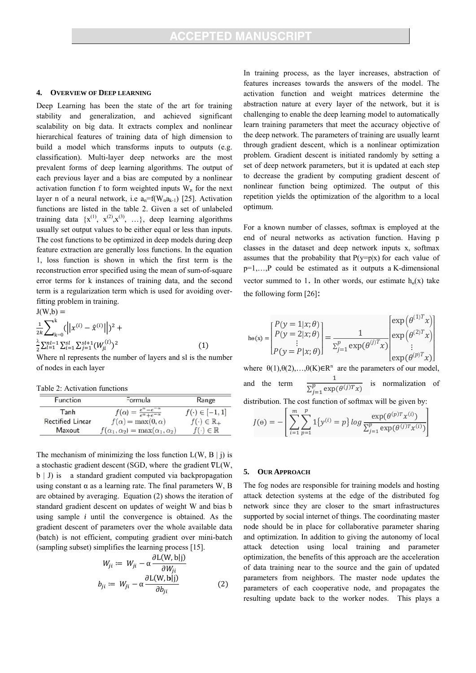#### 4. OVERVIEW OF DEEP LEARNING

Deep Learning has been the state of the art for training stability and generalization, and achieved significant scalability on big data. It extracts complex and nonlinear hierarchical features of training data of high dimension to build a model which transforms inputs to outputs (e.g. classification). Multi-layer deep networks are the most prevalent forms of deep learning algorithms. The output of each previous layer and a bias are computed by a nonlinear activation function f to form weighted inputs  $W_n$  for the next layer n of a neural network, i.e  $a_n = f(W_n a_{k-1})$  [25]. Activation functions are listed in the table 2. Given a set of unlabeled training data  $\{x^{(1)}, x^{(2)}, x^{(3)}, \ldots\}$ , deep learning algorithms usually set output values to be either equal or less than inputs. The cost functions to be optimized in deep models during deep feature extraction are generally loss functions. In the equation 1, loss function is shown in which the first term is the reconstruction error specified using the mean of sum-of-square error terms for k instances of training data, and the second term is a regularization term which is used for avoiding overfitting problem in training.

$$
J(W, b) =
$$
  
\n
$$
\frac{1}{2k} \sum_{k=0}^{k} (||x^{(i)} - \hat{x}^{(i)}||)^2 +
$$
  
\n
$$
\frac{\lambda}{2} \sum_{l=1}^{nl-1} \sum_{i=1}^{sl} \sum_{j=1}^{sl+1} (W_{ji}^{(l)})^2
$$
 (1)

Where nl represents the number of layers and sl is the number of nodes in each layer

Table 2: Activation functions

| <b>Function</b>         | Formula                                                                 | Range                       |
|-------------------------|-------------------------------------------------------------------------|-----------------------------|
| Tanh                    | $f(\alpha) = \frac{e^{\alpha} - e^{-\alpha}}{e^{\alpha} + e^{-\alpha}}$ | $f(\cdot) \in [-1,1]$       |
| <b>Rectified Linear</b> | $f(\alpha) = \max(0, \alpha)$                                           | $f(\cdot) \in \mathbb{R}_+$ |
| Maxout                  | $f(\alpha_1, \alpha_2) = \max(\alpha_1, \alpha_2)$                      | $f(\cdot) \in \mathbb{R}$   |

The mechanism of minimizing the loss function  $L(W, B | i)$  is a stochastic gradient descent (SGD, where the gradient  $\nabla L(W, \theta)$  $b \mid J$ ) is a standard gradient computed via backpropagation using constant  $\alpha$  as a learning rate. The final parameters W, B are obtained by averaging. Equation (2) shows the iteration of standard gradient descent on updates of weight W and bias b using sample  $i$  until the convergence is obtained. As the gradient descent of parameters over the whole available data (batch) is not efficient, computing gradient over mini-batch (sampling subset) simplifies the learning process [15].

$$
W_{ji} := W_{ji} - \alpha \frac{\partial L(W, b|j)}{\partial W_{ji}}
$$
  

$$
b_{ji} := W_{ji} - \alpha \frac{\partial L(W, b|j)}{\partial b_{ji}}
$$
 (2)

In training process, as the layer increases, abstraction of features increases towards the answers of the model. The activation function and weight matrices determine the abstraction nature at every layer of the network, but it is challenging to enable the deep learning model to automatically learn training parameters that meet the accuracy objective of the deep network. The parameters of training are usually learnt through gradient descent, which is a nonlinear optimization problem. Gradient descent is initiated randomly by setting a set of deep network parameters, but it is updated at each step to decrease the gradient by computing gradient descent of nonlinear function being optimized. The output of this repetition yields the optimization of the algorithm to a local optimum.

For a known number of classes, softmax is employed at the end of neural networks as activation function. Having p classes in the dataset and deep network inputs x, softmax assumes that the probability that  $P(y=p|x)$  for each value of  $p=1,...,P$  could be estimated as it outputs a K-dimensional vector summed to 1. In other words, our estimate  $h_0(x)$  take the following form  $[26]$ :

$$
h_{\theta}(x) = \begin{bmatrix} P(y=1|x;\theta) \\ P(y=2|x;\theta) \\ \vdots \\ P(y=P|x;\theta) \end{bmatrix} = \frac{1}{\sum_{j=1}^{p} \exp(\theta^{(j)T}x)} \begin{bmatrix} \exp(\theta^{(1)T}x) \\ \exp(\theta^{(2)T}x) \\ \vdots \\ \exp(\theta^{(p)T}x) \end{bmatrix}
$$

where  $\theta(1), \theta(2), \ldots, \theta(K) \in \mathbb{R}^n$  are the parameters of our model,  $\frac{1}{\sum_{j=1}^{p} \exp(\theta^{(j)}x)}$  is normalization of the term and distribution. The cost function of softmax will be given by:

$$
J(\Theta) = -\left[\sum_{i=1}^{m} \sum_{p=1}^{p} 1\{y^{(i)} = p\} \log \frac{\exp(\theta^{(p)T} x^{(i)})}{\sum_{j=1}^{p} \exp(\theta^{(j)T} x^{(i)})}\right]
$$

#### 5. OUR APPROACH

The fog nodes are responsible for training models and hosting attack detection systems at the edge of the distributed fog network since they are closer to the smart infrastructures supported by social internet of things. The coordinating master node should be in place for collaborative parameter sharing and optimization. In addition to giving the autonomy of local attack detection using local training and parameter optimization, the benefits of this approach are the acceleration of data training near to the source and the gain of updated parameters from neighbors. The master node updates the parameters of each cooperative node, and propagates the resulting update back to the worker nodes. This plays a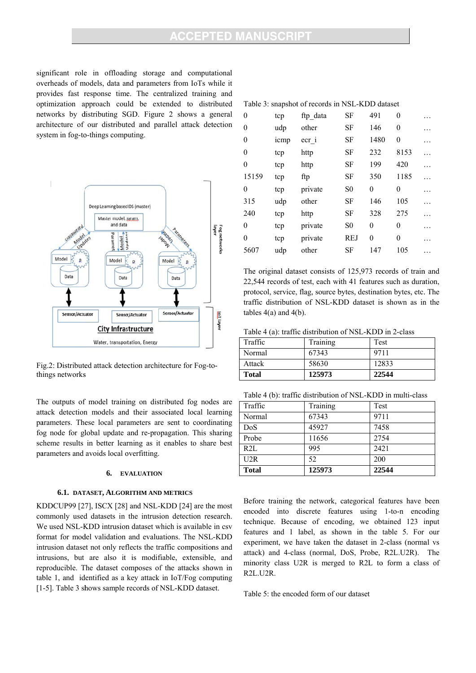### **CCEPTED MANUSCR**

significant role in offloading storage and computational overheads of models, data and parameters from IoTs while it provides fast response time. The centralized training and optimization approach could be extended to distributed networks by distributing SGD. Figure 2 shows a general architecture of our distributed and parallel attack detection system in fog-to-things computing.



Fig.2: Distributed attack detection architecture for Fog-tothings networks

The outputs of model training on distributed fog nodes are attack detection models and their associated local learning parameters. These local parameters are sent to coordinating fog node for global update and re-propagation. This sharing scheme results in better learning as it enables to share best parameters and avoids local overfitting.

#### 6. EVALUATION

#### 6.1. DATASET, ALGORITHM AND METRICS

KDDCUP99 [27], ISCX [28] and NSL-KDD [24] are the most commonly used datasets in the intrusion detection research. We used NSL-KDD intrusion dataset which is available in csv format for model validation and evaluations. The NSL-KDD intrusion dataset not only reflects the traffic compositions and intrusions, but are also it is modifiable, extensible, and reproducible. The dataset composes of the attacks shown in table 1, and identified as a key attack in IoT/Fog computing [1-5]. Table 3 shows sample records of NSL-KDD dataset.

| $\theta$ | tcp  | ftp data | SF             | 491  | 0        |  |
|----------|------|----------|----------------|------|----------|--|
| $\theta$ | udp  | other    | SF             | 146  | $\theta$ |  |
| $\theta$ | icmp | ecr i    | <b>SF</b>      | 1480 | $\theta$ |  |
| $\theta$ | tcp  | http     | <b>SF</b>      | 232  | 8153     |  |
| $\theta$ | tcp  | http     | SF             | 199  | 420      |  |
| 15159    | tcp  | ftp      | SF             | 350  | 1185     |  |
| $\theta$ | tcp  | private  | S <sub>0</sub> | 0    | 0        |  |
| 315      | udp  | other    | SF             | 146  | 105      |  |
| 240      | tcp  | http     | SF             | 328  | 275      |  |
| $\theta$ | tcp  | private  | S0             | 0    | 0        |  |
| $\theta$ | tcp  | private  | <b>REJ</b>     | 0    | 0        |  |
| 5607     | udp  | other    | SF             | 147  | 105      |  |

The original dataset consists of 125,973 records of train and 22,544 records of test, each with 41 features such as duration, protocol, service, flag, source bytes, destination bytes, etc. The traffic distribution of NSL-KDD dataset is shown as in the tables  $4(a)$  and  $4(b)$ .

Table 4 (a): traffic distribution of NSL-KDD in 2-class

| Traffic      | Training | Test  |
|--------------|----------|-------|
| Normal       | 67343    | 9711  |
| Attack       | 58630    | 12833 |
| <b>Total</b> | 125973   | 22544 |

Table 4 (b): traffic distribution of NSL-KDD in multi-class

| Traffic      | Training | Test  |
|--------------|----------|-------|
| Normal       | 67343    | 9711  |
| DoS          | 45927    | 7458  |
| Probe        | 11656    | 2754  |
| R2L          | 995      | 2421  |
| U2R          | 52       | 200   |
| <b>Total</b> | 125973   | 22544 |

Before training the network, categorical features have been encoded into discrete features using 1-to-n encoding technique. Because of encoding, we obtained 123 input features and 1 label, as shown in the table 5. For our experiment, we have taken the dataset in 2-class (normal vs attack) and 4-class (normal, DoS, Probe, R2L.U2R). The minority class U2R is merged to R2L to form a class of R2L.U2R.

Table 5: the encoded form of our dataset

Table 3: snapshot of records in NSL-KDD dataset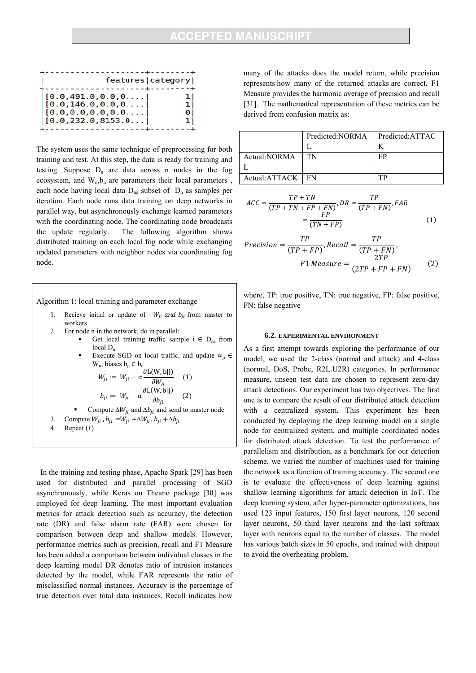| features   category                              |          |
|--------------------------------------------------|----------|
| $[0.0, 491.0, 0.0, 0.$<br>$[0.0, 146.0, 0.0, 0.$ | 11<br>11 |
| $[0.0, 0.0, 0.0, 0.0, 0, \ldots]$                | 01       |
| [0.0, 232.0, 8153.0]                             |          |

The system uses the same technique of preprocessing for both training and test. At this step, the data is ready for training and testing. Suppose  $D_n$  are data across n nodes in the fog ecosystem, and  $W_n, b_n$  are parameters their local parameters, each node having local data  $D_{na}$  subset of  $D_n$  as samples per iteration. Each node runs data training on deep networks in parallel way, but asynchronously exchange learned parameters with the coordinating node. The coordinating node broadcasts The following algorithm shows the update regularly. distributed training on each local fog node while exchanging updated parameters with neighbor nodes via coordinating fog node.

Algorithm 1: local training and parameter exchange Recieve initial or update of  $W_{ji}$  and  $b_{ji}$  from master to  $\mathbf{1}$ . workers 2. For node n in the network, do in parallel: Get local training traffic sample  $i \in D_{na}$  from local  $D_n$ Execute SGD on local traffic, and update  $w_{ii} \in$ Execute SOD on New 1111<br>W<sub>n</sub>, biases  $b_{ji} \in b_n$ <br> $W_{ji} := W_{ji} - \alpha \frac{\partial L(W, b|j)}{\partial W_{ji}}$ <br> $b_{ji} := W_{ji} - \alpha \frac{\partial L(W, b|j)}{\partial b_{ji}}$  $(1)$  $(2)$ Compute  $\Delta W_{ii}$  and  $\Delta b_{ii}$  and send to master node Compute  $W_{ji}$ ,  $b_{ji} = W_{ji} + \Delta W_{ji}$ ,  $b_{ji} + \Delta b_{ji}$ 3.

Repeat  $(1)$  $\overline{4}$ 

In the training and testing phase, Apache Spark [29] has been used for distributed and parallel processing of SGD asynchronously, while Keras on Theano package [30] was employed for deep learning. The most important evaluation metrics for attack detection such as accuracy, the detection rate (DR) and false alarm rate (FAR) were chosen for comparison between deep and shallow models. However, performance metrics such as precision, recall and F1 Measure has been added a comparison between individual classes in the deep learning model DR denotes ratio of intrusion instances detected by the model, while FAR represents the ratio of misclassified normal instances. Accuracy is the percentage of true detection over total data instances. Recall indicates how many of the attacks does the model return, while precision represents how many of the returned attacks are correct. F1 Measure provides the harmonic average of precision and recall [31]. The mathematical representation of these metrics can be derived from confusion matrix as:

|                | Predicted: NORMA | Predicted:ATTAC |
|----------------|------------------|-----------------|
|                |                  |                 |
| Actual:NORMA   | TN               | FP              |
|                |                  |                 |
| Actual: ATTACK | FN               | тp              |

$$
ACC = \frac{TP + TN}{(TP + TN + FP + FN)}, DR = \frac{TP}{(TP + FN)}, FAR
$$

$$
= \frac{FP}{(TN + FP)}
$$
(1)

$$
Precision = \frac{TP}{(TP + FP)}, Recall = \frac{TP}{(TP + FN)},
$$

$$
F1 \; Measure = \frac{2TP}{(2TP + FP + FN)} \tag{2}
$$

where, TP: true positive, TN: true negative, FP: false positive, FN: false negative

#### 6.2. EXPERIMENTAL ENVIRONMENT

As a first attempt towards exploring the performance of our model, we used the 2-class (normal and attack) and 4-class (normal, DoS, Probe, R2L.U2R) categories. In performance measure, unseen test data are chosen to represent zero-day attack detections. Our experiment has two objectives. The first one is to compare the result of our distributed attack detection with a centralized system. This experiment has been conducted by deploying the deep learning model on a single node for centralized system, and multiple coordinated nodes for distributed attack detection. To test the performance of parallelism and distribution, as a benchmark for our detection scheme, we varied the number of machines used for training the network as a function of training accuracy. The second one is to evaluate the effectiveness of deep learning against shallow learning algorithms for attack detection in IoT. The deep learning system, after hyper-parameter optimizations, has used 123 input features, 150 first layer neurons, 120 second layer neurons, 50 third layer neurons and the last softmax layer with neurons equal to the number of classes. The model has various batch sizes in 50 epochs, and trained with dropout to avoid the overheating problem.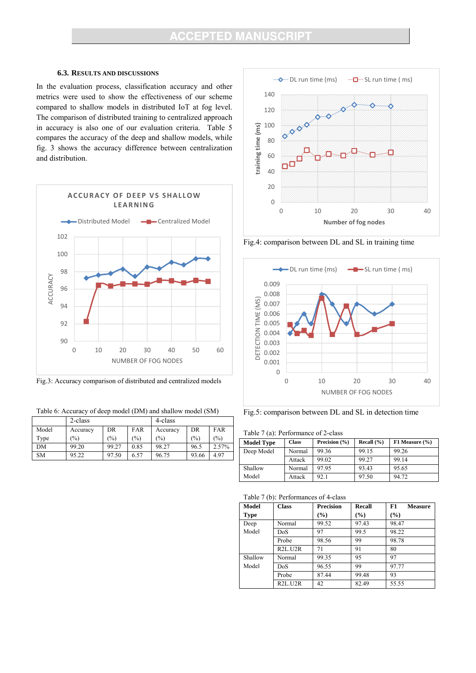#### **6.3. RESULTS AND DISCUSSIONS**

In the evaluation process, classification accuracy and other metrics were used to show the effectiveness of our scheme compared to shallow models in distributed IoT at fog level. The comparison of distributed training to centralized approach in accuracy is also one of our evaluation criteria. Table 5 compares the accuracy of the deep and shallow models, while fig. 3 shows the accuracy difference between centralization and distribution.



Fig.3: Accuracy comparison of distributed and centralized models

| Table 6: Accuracy of deep model (DM) and shallow model (SM) |  |  |
|-------------------------------------------------------------|--|--|
|                                                             |  |  |

|           | 2-class       |               |               | 4-class        |       |       |
|-----------|---------------|---------------|---------------|----------------|-------|-------|
| Model     | Accuracy      | DR            | FAR           | Accuracy       | DR    | FAR   |
| Type      | $\frac{1}{2}$ | $\frac{6}{2}$ | $\frac{1}{2}$ | $\binom{0}{0}$ | (%)   | (%)   |
| DМ        | 99.20         | 99.27         | 0.85          | 98.27          | 96.5  | 2.57% |
| <b>SM</b> | 95.22         | 97.50         | 6.57          | 96.75          | 93.66 | 4.97  |



Fig.4: comparison between DL and SL in training time



Fig.5: comparison between DL and SL in detection time

| <b>Model Type</b> | <b>Class</b> | Precision $(\% )$ | Recall $(\% )$ | F1 Measure (%) |
|-------------------|--------------|-------------------|----------------|----------------|
| Deep Model        | Normal       | 99.36             | 99.15          | 99.26          |
|                   | Attack       | 99.02             | 99.27          | 99.14          |
| Shallow           | Normal       | 97.95             | 93.43          | 95.65          |
| Model             | Attack       | 92.1              | 97.50          | 94.72          |

Table 7 (b): Performances of 4-class

| Model       | <b>Class</b>                      | <b>Precision</b> | Recall | F1<br><b>Measure</b> |
|-------------|-----------------------------------|------------------|--------|----------------------|
| <b>Type</b> |                                   | $($ %)           | $(\%)$ | (%)                  |
| Deep        | Normal                            | 99.52            | 97.43  | 98.47                |
| Model       | DoS                               | 97               | 99.5   | 98.22                |
|             | Probe                             | 98.56            | 99     | 98.78                |
|             | R <sub>2</sub> L.U <sub>2</sub> R | 71               | 91     | 80                   |
| Shallow     | Normal                            | 99.35            | 95     | 97                   |
| Model       | DoS                               | 96.55            | 99     | 97.77                |
|             | Probe                             | 87.44            | 99.48  | 93                   |
|             | R <sub>2</sub> L.U <sub>2</sub> R | 42               | 82.49  | 55.55                |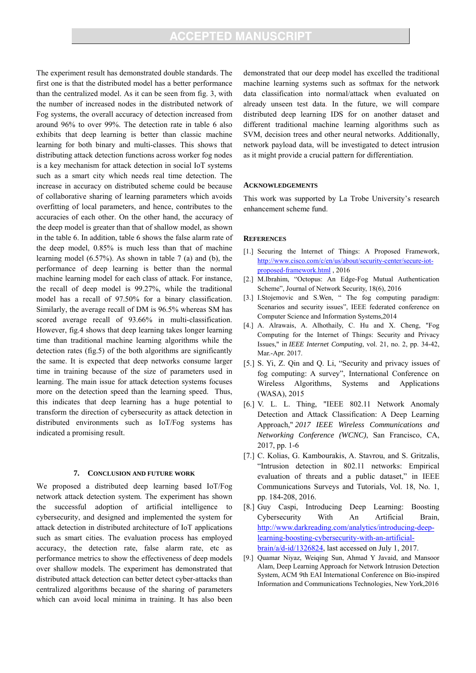### **CCEPTED MANUSCRIPT**

The experiment result has demonstrated double standards. The first one is that the distributed model has a better performance than the centralized model. As it can be seen from fig. 3, with the number of increased nodes in the distributed network of Fog systems, the overall accuracy of detection increased from around 96% to over 99%. The detection rate in table 6 also exhibits that deep learning is better than classic machine learning for both binary and multi-classes. This shows that distributing attack detection functions across worker fog nodes is a key mechanism for attack detection in social IoT systems such as a smart city which needs real time detection. The increase in accuracy on distributed scheme could be because of collaborative sharing of learning parameters which avoids overfitting of local parameters, and hence, contributes to the accuracies of each other. On the other hand, the accuracy of the deep model is greater than that of shallow model, as shown in the table 6. In addition, table 6 shows the false alarm rate of the deep model, 0.85% is much less than that of machine learning model (6.57%). As shown in table 7 (a) and (b), the performance of deep learning is better than the normal machine learning model for each class of attack. For instance, the recall of deep model is 99.27%, while the traditional model has a recall of 97.50% for a binary classification. Similarly, the average recall of DM is 96.5% whereas SM has scored average recall of 93.66% in multi-classification. However, fig.4 shows that deep learning takes longer learning time than traditional machine learning algorithms while the detection rates (fig.5) of the both algorithms are significantly the same. It is expected that deep networks consume larger time in training because of the size of parameters used in learning. The main issue for attack detection systems focuses more on the detection speed than the learning speed. Thus, this indicates that deep learning has a huge potential to transform the direction of cybersecurity as attack detection in distributed environments such as IoT/Fog systems has indicated a promising result.

#### **7. CONCLUSION AND FUTURE WORK**

We proposed a distributed deep learning based IoT/Fog network attack detection system. The experiment has shown the successful adoption of artificial intelligence to cybersecurity, and designed and implemented the system for attack detection in distributed architecture of IoT applications such as smart cities. The evaluation process has employed accuracy, the detection rate, false alarm rate, etc as performance metrics to show the effectiveness of deep models over shallow models. The experiment has demonstrated that distributed attack detection can better detect cyber-attacks than centralized algorithms because of the sharing of parameters which can avoid local minima in training. It has also been demonstrated that our deep model has excelled the traditional machine learning systems such as softmax for the network data classification into normal/attack when evaluated on already unseen test data. In the future, we will compare distributed deep learning IDS for on another dataset and different traditional machine learning algorithms such as SVM, decision trees and other neural networks. Additionally, network payload data, will be investigated to detect intrusion as it might provide a crucial pattern for differentiation.

#### **ACKNOWLEDGEMENTS**

This work was supported by La Trobe University's research enhancement scheme fund.

#### **REFERENCES**

- [1.] Securing the Internet of Things: A Proposed Framework, http://www.cisco.com/c/en/us/about/security-center/secure-iotproposed-framework.html , 2016
- [2.] M.Ibrahim, "Octopus: An Edge-Fog Mutual Authentication Scheme", Journal of Network Security, 18(6), 2016
- [3.] I.Stojemovic and S.Wen, " The fog computing paradigm: Scenarios and security issues", IEEE federated conference on Computer Science and Information Systems,2014
- [4.] A. Alrawais, A. Alhothaily, C. Hu and X. Cheng, "Fog Computing for the Internet of Things: Security and Privacy Issues," in *IEEE Internet Computing*, vol. 21, no. 2, pp. 34-42, Mar.-Apr. 2017.
- [5.] S. Yi, Z. Qin and Q. Li, "Security and privacy issues of fog computing: A survey", International Conference on Wireless Algorithms, Systems and Applications (WASA), 2015
- [6.] V. L. L. Thing, "IEEE 802.11 Network Anomaly Detection and Attack Classification: A Deep Learning Approach," *2017 IEEE Wireless Communications and Networking Conference (WCNC)*, San Francisco, CA, 2017, pp. 1-6
- [7.] C. Kolias, G. Kambourakis, A. Stavrou, and S. Gritzalis, "Intrusion detection in 802.11 networks: Empirical evaluation of threats and a public dataset," in IEEE Communications Surveys and Tutorials, Vol. 18, No. 1, pp. 184-208, 2016.
- [8.] Guy Caspi, Introducing Deep Learning: Boosting Cybersecurity With An Artificial Brain, http://www.darkreading.com/analytics/introducing-deeplearning-boosting-cybersecurity-with-an-artificialbrain/a/d-id/1326824, last accessed on July 1, 2017.
- [9.] Quamar Niyaz, Weiqing Sun, Ahmad Y Javaid, and Mansoor Alam, Deep Learning Approach for Network Intrusion Detection System, ACM 9th EAI International Conference on Bio-inspired Information and Communications Technologies, New York,2016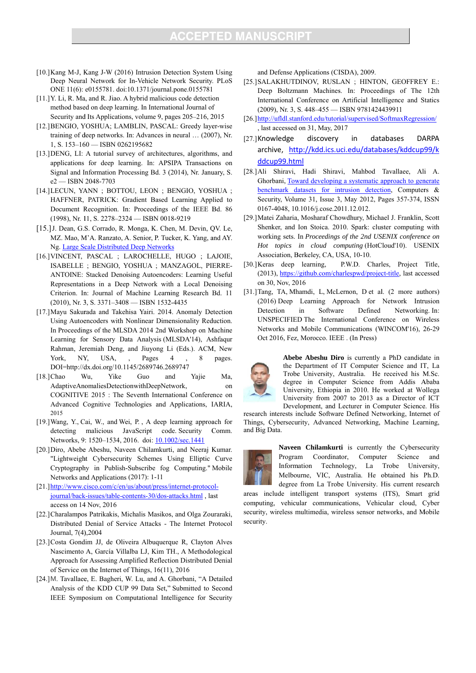- [10.] Kang M-J, Kang J-W (2016) Intrusion Detection System Using Deep Neural Network for In-Vehicle Network Security. PLoS ONE 11(6): e0155781. doi:10.1371/journal.pone.0155781
- [11.] Y. Li, R. Ma, and R. Jiao. A hybrid malicious code detection method based on deep learning. In International Journal of Security and Its Applications, volume 9, pages 205–216, 2015
- [12.] BENGIO, YOSHUA; LAMBLIN, PASCAL: Greedy layer-wise training of deep networks. In: Advances in neural ... (2007), Nr. 1, S. 153-160 - ISBN 0262195682
- [13.] DENG, LI: A tutorial survey of architectures, algorithms, and applications for deep learning. In: APSIPA Transactions on Signal and Information Processing Bd. 3 (2014), Nr. January, S. e2 - ISBN 2048-7703
- [14.]LECUN. YANN: BOTTOU, LEON: BENGIO, YOSHUA: HAFFNER, PATRICK: Gradient Based Learning Applied to Document Recognition. In: Proceedings of the IEEE Bd. 86 (1998), Nr. 11, S. 2278-2324 - ISBN 0018-9219
- [15.] J. Dean, G.S. Corrado, R. Monga, K. Chen, M. Devin, QV. Le, MZ. Mao, M'A. Ranzato, A. Senior, P. Tucker, K. Yang, and AY. Ng. Large Scale Distributed Deep Networks
- [16.] VINCENT, PASCAL ; LAROCHELLE, HUGO ; LAJOIE, ISABELLE ; BENGIO, YOSHUA ; MANZAGOL, PIERRE-ANTOINE: Stacked Denoising Autoencoders: Learning Useful Representations in a Deep Network with a Local Denoising Criterion. In: Journal of Machine Learning Research Bd. 11  $(2010)$ , Nr. 3, S. 3371-3408 - ISBN 1532-4435
- [17.] Mayu Sakurada and Takehisa Yairi. 2014. Anomaly Detection Using Autoencoders with Nonlinear Dimensionality Reduction. In Proceedings of the MLSDA 2014 2nd Workshop on Machine Learning for Sensory Data Analysis (MLSDA'14), Ashfaqur Rahman, Jeremiah Deng, and Jiuyong Li (Eds.). ACM, New York, NY, USA, Pages  $\overline{4}$ 8 pages. DOI=http://dx.doi.org/10.1145/2689746.2689747
- $[18.]$ Chao Wu. Yike Guo and Yaiie M<sub>a</sub> AdaptiveAnomaliesDetectionwithDeepNetwork, on COGNITIVE 2015 : The Seventh International Conference on Advanced Cognitive Technologies and Applications, IARIA, 2015
- [19.] Wang, Y., Cai, W., and Wei, P., A deep learning approach for detecting malicious JavaScript code. Security Comm. Networks, 9: 1520-1534, 2016. doi: 10.1002/sec.1441
- [20.] Diro, Abebe Abeshu, Naveen Chilamkurti, and Neeraj Kumar. "Lightweight Cybersecurity Schemes Using Elliptic Curve Cryptography in Publish-Subscribe fog Computing." Mobile Networks and Applications (2017): 1-11
- [21.]http://www.cisco.com/c/en/us/about/press/internet-protocoljournal/back-issues/table-contents-30/dos-attacks.html, last access on 14 Nov, 2016
- [22.] Charalampos Patrikakis, Michalis Masikos, and Olga Zouraraki, Distributed Denial of Service Attacks - The Internet Protocol Journal, 7(4), 2004
- [23.] Costa Gondim JJ, de Oliveira Albuquerque R, Clayton Alves Nascimento A, García Villalba LJ, Kim TH., A Methodological Approach for Assessing Amplified Reflection Distributed Denial of Service on the Internet of Things, 16(11), 2016
- [24.]M. Tavallaee, E. Bagheri, W. Lu, and A. Ghorbani, "A Detailed Analysis of the KDD CUP 99 Data Set," Submitted to Second IEEE Symposium on Computational Intelligence for Security

and Defense Applications (CISDA), 2009.

- [25.] SALAKHUTDINOV, RUSLAN ; HINTON, GEOFFREY E.: Deep Boltzmann Machines. In: Proceedings of The 12th International Conference on Artificial Intelligence and Statics (2009), Nr. 3, S. 448-455 - ISBN 9781424439911
- [26.] http://ufldl.stanford.edu/tutorial/supervised/SoftmaxRegression/ , last accessed on 31, May, 2017
- [27.1Knowledge discovery in databases **DARPA** archive, http://kdd.ics.uci.edu/databases/kddcup99/k ddcup99.html
- [28.] Ali Shiravi, Hadi Shiravi, Mahbod Tavallaee, Ali A. Ghorbani, Toward developing a systematic approach to generate benchmark datasets for intrusion detection, Computers & Security, Volume 31, Issue 3, May 2012, Pages 357-374, ISSN 0167-4048, 10.1016/j.cose.2011.12.012.
- [29.] Matei Zaharia, Mosharaf Chowdhury, Michael J. Franklin, Scott Shenker, and Ion Stoica. 2010. Spark: cluster computing with working sets. In Proceedings of the 2nd USENIX conference on Hot topics in cloud computing (HotCloud'10). USENIX Association, Berkeley, CA, USA, 10-10.
- [30.] Keras deep learning, P.W.D. Charles, Project Title, (2013), https://github.com/charlespwd/project-title, last accessed on 30, Nov, 2016
- [31.] Tang, TA, Mhamdi, L, McLernon, D et al. (2 more authors) (2016) Deep Learning Approach for Network Intrusion Detection  $in$ Software Defined Networking. In: UNSPECIFIED The International Conference on Wireless Networks and Mobile Communications (WINCOM'16), 26-29 Oct 2016, Fez, Morocco. IEEE . (In Press)



Abebe Abeshu Diro is currently a PhD candidate in the Department of IT Computer Science and IT, La Trobe University, Australia. He received his M.Sc. degree in Computer Science from Addis Ababa University, Ethiopia in 2010. He worked at Wollega University from 2007 to 2013 as a Director of ICT Development, and Lecturer in Computer Science. His

research interests include Software Defined Networking, Internet of Things, Cybersecurity, Advanced Networking, Machine Learning, and Big Data.



Naveen Chilamkurti is currently the Cybersecurity Program Coordinator, Computer Science and Information Technology, La Trobe University, Melbourne, VIC, Australia. He obtained his Ph.D. degree from La Trobe University. His current research

areas include intelligent transport systems (ITS), Smart grid computing, vehicular communications, Vehicular cloud, Cyber security, wireless multimedia, wireless sensor networks, and Mobile security.